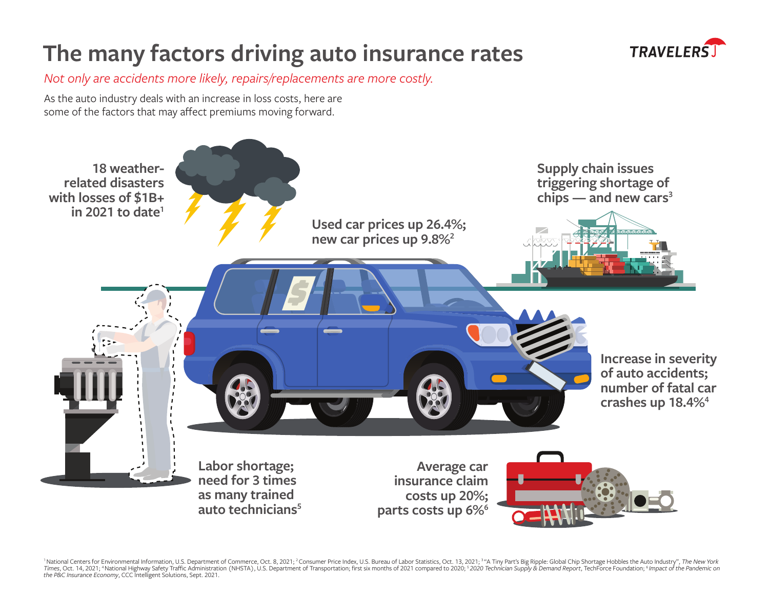## **The many factors driving auto insurance rates**



*Not only are accidents more likely, repairs/replacements are more costly.*

As the auto industry deals with an increase in loss costs, here are some of the factors that may affect premiums moving forward.



<sup>1</sup> National Centers for Environmental Information, U.S. Department of Commerce, Oct. 8, 2021; <sup>2</sup> Consumer Price Index, U.S. Bureau of Labor Statistics, Oct. 13, 2021; <sup>3</sup> 4</sup> Tiny Part's Big Ripple: Global Chip Shortage H Times, Oct. 14, 2021; "National Highway Safety Traffic Administration (NHSTA), U.S. Department of Transportation; first six months of 2021 compared to 2020; <sup>s</sup> 2020 Technician Supply & Demand Report, TechForce Foundation;